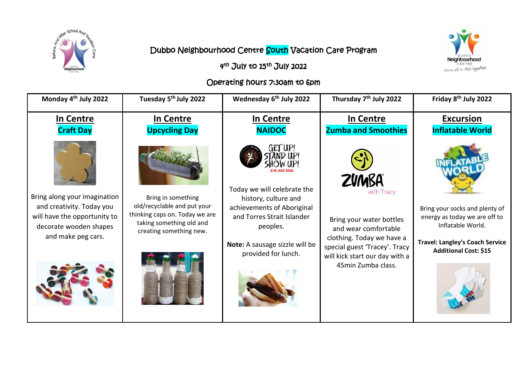



## Dubbo Neighbourhood Centre South Vacation Care Program

4<sup>th</sup> July to 15<sup>th</sup> July 2022

## Operating hours 7:30am to 6pm

| Monday 4 <sup>th</sup> July 2022                                                                                                          | Tuesday 5 <sup>th</sup> July 2022                                                                                                          | Wednesday 6 <sup>th</sup> July 2022                                                                                                                                                             | Thursday 7 <sup>th</sup> July 2022                                                                                                                                                                   | Friday 8 <sup>th</sup> July 2022                                                                                                                               |
|-------------------------------------------------------------------------------------------------------------------------------------------|--------------------------------------------------------------------------------------------------------------------------------------------|-------------------------------------------------------------------------------------------------------------------------------------------------------------------------------------------------|------------------------------------------------------------------------------------------------------------------------------------------------------------------------------------------------------|----------------------------------------------------------------------------------------------------------------------------------------------------------------|
| In Centre                                                                                                                                 | In Centre                                                                                                                                  | In Centre                                                                                                                                                                                       | In Centre                                                                                                                                                                                            | <b>Excursion</b>                                                                                                                                               |
| <b>Craft Day</b>                                                                                                                          | <b>Upcycling Day</b>                                                                                                                       | <b>NAIDOC</b>                                                                                                                                                                                   | <b>Zumba and Smoothies</b>                                                                                                                                                                           | <b>Inflatable World</b>                                                                                                                                        |
| Bring along your imagination<br>and creativity. Today you<br>will have the opportunity to<br>decorate wooden shapes<br>and make peg cars. | Bring in something<br>old/recyclable and put your<br>thinking caps on. Today we are<br>taking something old and<br>creating something new. | GET UP!<br>Today we will celebrate the<br>history, culture and<br>achievements of Aboriginal<br>and Torres Strait Islander<br>peoples.<br>Note: A sausage sizzle will be<br>provided for lunch. | <b>ZVMBA</b><br>with Tracy<br>Bring your water bottles<br>and wear comfortable<br>clothing. Today we have a<br>special guest 'Tracey'. Tracy<br>will kick start our day with a<br>45min Zumba class. | Bring your socks and plenty of<br>energy as today we are off to<br>Inflatable World.<br><b>Travel: Langley's Coach Service</b><br><b>Additional Cost: \$15</b> |
|                                                                                                                                           |                                                                                                                                            |                                                                                                                                                                                                 |                                                                                                                                                                                                      |                                                                                                                                                                |